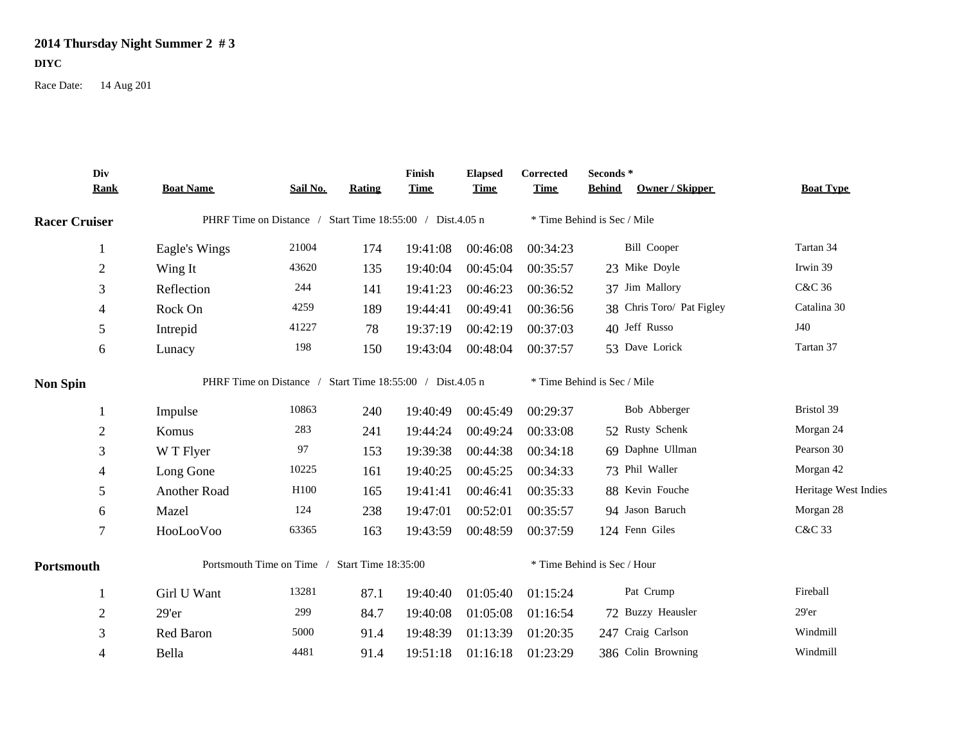## **2014 Thursday Night Summer 2 # 3**

## **DIYC**

Race Date: 14 Aug 201

|                      | Div<br><b>Rank</b> | <b>Boat Name</b>                                          | Sail No. | Rating | Finish<br><b>Time</b> | <b>Elapsed</b><br><u>Time</u> | Corrected<br><b>Time</b>    | Seconds*<br><b>Behind</b>   | Owner / Skipper           | <b>Boat Type</b>     |  |  |
|----------------------|--------------------|-----------------------------------------------------------|----------|--------|-----------------------|-------------------------------|-----------------------------|-----------------------------|---------------------------|----------------------|--|--|
|                      |                    |                                                           |          |        |                       |                               |                             |                             |                           |                      |  |  |
| <b>Racer Cruiser</b> |                    | PHRF Time on Distance / Start Time 18:55:00 / Dist.4.05 n |          |        |                       |                               |                             | * Time Behind is Sec / Mile |                           |                      |  |  |
|                      | 1                  | Eagle's Wings                                             | 21004    | 174    | 19:41:08              | 00:46:08                      | 00:34:23                    | <b>Bill Cooper</b>          |                           | Tartan 34            |  |  |
|                      | $\sqrt{2}$         | Wing It                                                   | 43620    | 135    | 19:40:04              | 00:45:04                      | 00:35:57                    | 23 Mike Doyle               |                           | Irwin 39             |  |  |
|                      | 3                  | Reflection                                                | 244      | 141    | 19:41:23              | 00:46:23                      | 00:36:52                    | 37 Jim Mallory              |                           | C&C 36               |  |  |
|                      | 4                  | Rock On                                                   | 4259     | 189    | 19:44:41              | 00:49:41                      | 00:36:56                    |                             | 38 Chris Toro/ Pat Figley | Catalina 30          |  |  |
|                      | $\sqrt{5}$         | Intrepid                                                  | 41227    | 78     | 19:37:19              | 00:42:19                      | 00:37:03                    | 40 Jeff Russo               |                           | J40                  |  |  |
|                      | 6                  | Lunacy                                                    | 198      | 150    | 19:43:04              | 00:48:04                      | 00:37:57                    | 53 Dave Lorick              |                           | Tartan 37            |  |  |
| <b>Non Spin</b>      |                    | PHRF Time on Distance / Start Time 18:55:00 / Dist.4.05 n |          |        |                       |                               | * Time Behind is Sec / Mile |                             |                           |                      |  |  |
|                      |                    | Impulse                                                   | 10863    | 240    | 19:40:49              | 00:45:49                      | 00:29:37                    |                             | Bob Abberger              | Bristol 39           |  |  |
|                      | $\overline{2}$     | Komus                                                     | 283      | 241    | 19:44:24              | 00:49:24                      | 00:33:08                    | 52 Rusty Schenk             |                           | Morgan 24            |  |  |
|                      | 3                  | W T Flyer                                                 | 97       | 153    | 19:39:38              | 00:44:38                      | 00:34:18                    | 69 Daphne Ullman            |                           | Pearson 30           |  |  |
|                      | $\overline{4}$     | Long Gone                                                 | 10225    | 161    | 19:40:25              | 00:45:25                      | 00:34:33                    | 73 Phil Waller              |                           | Morgan 42            |  |  |
|                      | 5                  | Another Road                                              | H100     | 165    | 19:41:41              | 00:46:41                      | 00:35:33                    | 88 Kevin Fouche             |                           | Heritage West Indies |  |  |
|                      | $6\,$              | Mazel                                                     | 124      | 238    | 19:47:01              | 00:52:01                      | 00:35:57                    | 94 Jason Baruch             |                           | Morgan 28            |  |  |
|                      | $\tau$             | HooLooVoo                                                 | 63365    | 163    | 19:43:59              | 00:48:59                      | 00:37:59                    | 124 Fenn Giles              |                           | C&C 33               |  |  |
| Portsmouth           |                    | Start Time 18:35:00<br>Portsmouth Time on Time /          |          |        |                       |                               |                             | * Time Behind is Sec / Hour |                           |                      |  |  |
|                      |                    | Girl U Want                                               | 13281    | 87.1   | 19:40:40              | 01:05:40                      | 01:15:24                    | Pat Crump                   |                           | Fireball             |  |  |
|                      | $\overline{2}$     | 29'er                                                     | 299      | 84.7   | 19:40:08              | 01:05:08                      | 01:16:54                    | 72 Buzzy Heausler           |                           | 29'er                |  |  |
|                      | 3                  | Red Baron                                                 | 5000     | 91.4   | 19:48:39              | 01:13:39                      | 01:20:35                    | 247 Craig Carlson           |                           | Windmill             |  |  |
|                      | $\overline{4}$     | Bella                                                     | 4481     | 91.4   | 19:51:18              | 01:16:18                      | 01:23:29                    | 386 Colin Browning          |                           | Windmill             |  |  |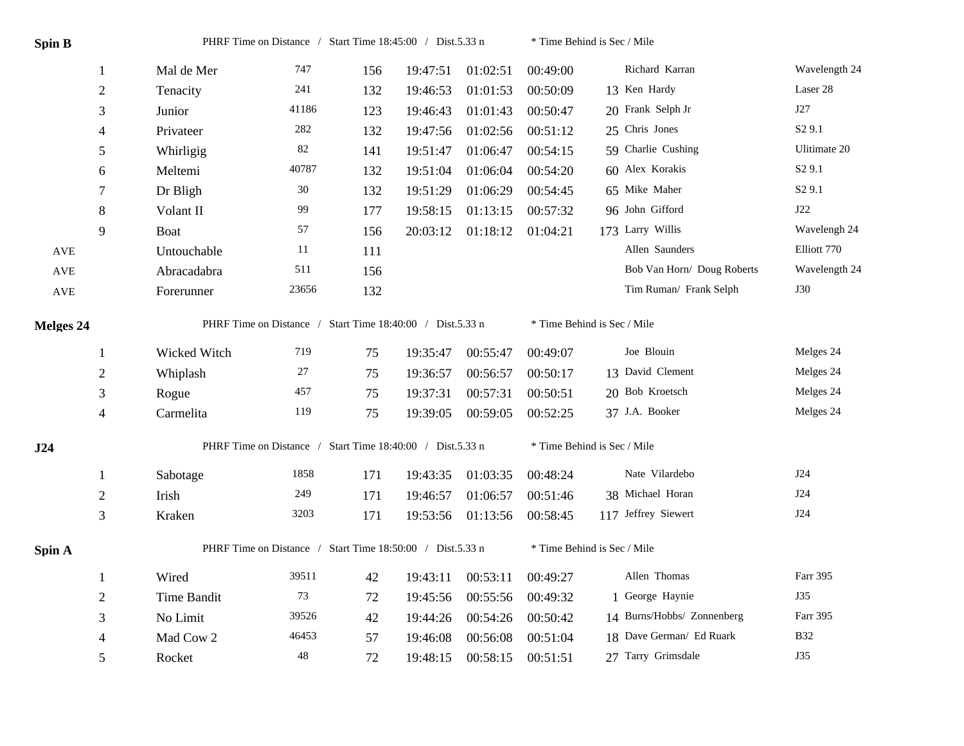| Spin B     |                | PHRF Time on Distance / Start Time 18:45:00 / Dist.5.33 n |         |     | * Time Behind is Sec / Mile |          |          |                             |                    |  |  |
|------------|----------------|-----------------------------------------------------------|---------|-----|-----------------------------|----------|----------|-----------------------------|--------------------|--|--|
|            | $\mathbf{1}$   | Mal de Mer                                                | 747     | 156 | 19:47:51                    | 01:02:51 | 00:49:00 | Richard Karran              | Wavelength 24      |  |  |
|            | $\sqrt{2}$     | Tenacity                                                  | 241     | 132 | 19:46:53                    | 01:01:53 | 00:50:09 | 13 Ken Hardy                | Laser 28           |  |  |
|            | 3              | Junior                                                    | 41186   | 123 | 19:46:43                    | 01:01:43 | 00:50:47 | 20 Frank Selph Jr           | J27                |  |  |
|            | $\overline{4}$ | Privateer                                                 | $282\,$ | 132 | 19:47:56                    | 01:02:56 | 00:51:12 | 25 Chris Jones              | S <sub>2</sub> 9.1 |  |  |
|            | 5              | Whirligig                                                 | $82\,$  | 141 | 19:51:47                    | 01:06:47 | 00:54:15 | 59 Charlie Cushing          | Ulitimate 20       |  |  |
|            | 6              | Meltemi                                                   | 40787   | 132 | 19:51:04                    | 01:06:04 | 00:54:20 | 60 Alex Korakis             | S <sub>2</sub> 9.1 |  |  |
|            | 7              | Dr Bligh                                                  | $30\,$  | 132 | 19:51:29                    | 01:06:29 | 00:54:45 | 65 Mike Maher               | S <sub>2</sub> 9.1 |  |  |
|            | $\,$ 8 $\,$    | Volant II                                                 | 99      | 177 | 19:58:15                    | 01:13:15 | 00:57:32 | 96 John Gifford             | J22                |  |  |
|            | 9              | Boat                                                      | 57      | 156 | 20:03:12                    | 01:18:12 | 01:04:21 | 173 Larry Willis            | Wavelengh 24       |  |  |
| <b>AVE</b> |                | Untouchable                                               | 11      | 111 |                             |          |          | Allen Saunders              | Elliott 770        |  |  |
| AVE        |                | Abracadabra                                               | 511     | 156 |                             |          |          | Bob Van Horn/ Doug Roberts  | Wavelength 24      |  |  |
| <b>AVE</b> |                | Forerunner                                                | 23656   | 132 |                             |          |          | Tim Ruman/ Frank Selph      | <b>J30</b>         |  |  |
| Melges 24  |                | PHRF Time on Distance / Start Time 18:40:00 / Dist.5.33 n |         |     |                             |          |          | * Time Behind is Sec / Mile |                    |  |  |
|            | 1              | Wicked Witch                                              | 719     | 75  | 19:35:47                    | 00:55:47 | 00:49:07 | Joe Blouin                  | Melges 24          |  |  |
|            | $\sqrt{2}$     | Whiplash                                                  | $27\,$  | 75  | 19:36:57                    | 00:56:57 | 00:50:17 | 13 David Clement            | Melges 24          |  |  |
|            | 3              | Rogue                                                     | 457     | 75  | 19:37:31                    | 00:57:31 | 00:50:51 | 20 Bob Kroetsch             | Melges 24          |  |  |
|            | $\overline{4}$ | Carmelita                                                 | 119     | 75  | 19:39:05                    | 00:59:05 | 00:52:25 | 37 J.A. Booker              | Melges 24          |  |  |
| J24        |                | PHRF Time on Distance / Start Time 18:40:00 / Dist.5.33 n |         |     |                             |          |          | * Time Behind is Sec / Mile |                    |  |  |
|            | $\mathbf{1}$   | Sabotage                                                  | 1858    | 171 | 19:43:35                    | 01:03:35 | 00:48:24 | Nate Vilardebo              | J24                |  |  |
|            | $\sqrt{2}$     | Irish                                                     | 249     | 171 | 19:46:57                    | 01:06:57 | 00:51:46 | 38 Michael Horan            | J24                |  |  |
|            | 3              | Kraken                                                    | 3203    | 171 | 19:53:56                    | 01:13:56 | 00:58:45 | 117 Jeffrey Siewert         | J24                |  |  |
| Spin A     |                | PHRF Time on Distance / Start Time 18:50:00 / Dist.5.33 n |         |     |                             |          |          | * Time Behind is Sec / Mile |                    |  |  |
|            | $\mathbf{1}$   | Wired                                                     | 39511   | 42  | 19:43:11                    | 00:53:11 | 00:49:27 | Allen Thomas                | Farr 395           |  |  |
|            | $\sqrt{2}$     | Time Bandit                                               | 73      | 72  | 19:45:56                    | 00:55:56 | 00:49:32 | 1 George Haynie             | <b>J35</b>         |  |  |
|            | 3              | No Limit                                                  | 39526   | 42  | 19:44:26                    | 00:54:26 | 00:50:42 | 14 Burns/Hobbs/ Zonnenberg  | Farr 395           |  |  |
|            | 4              | Mad Cow 2                                                 | 46453   | 57  | 19:46:08                    | 00:56:08 | 00:51:04 | 18 Dave German/ Ed Ruark    | <b>B32</b>         |  |  |
|            | 5              | Rocket                                                    | $48\,$  | 72  | 19:48:15                    | 00:58:15 | 00:51:51 | 27 Tarry Grimsdale          | <b>J35</b>         |  |  |